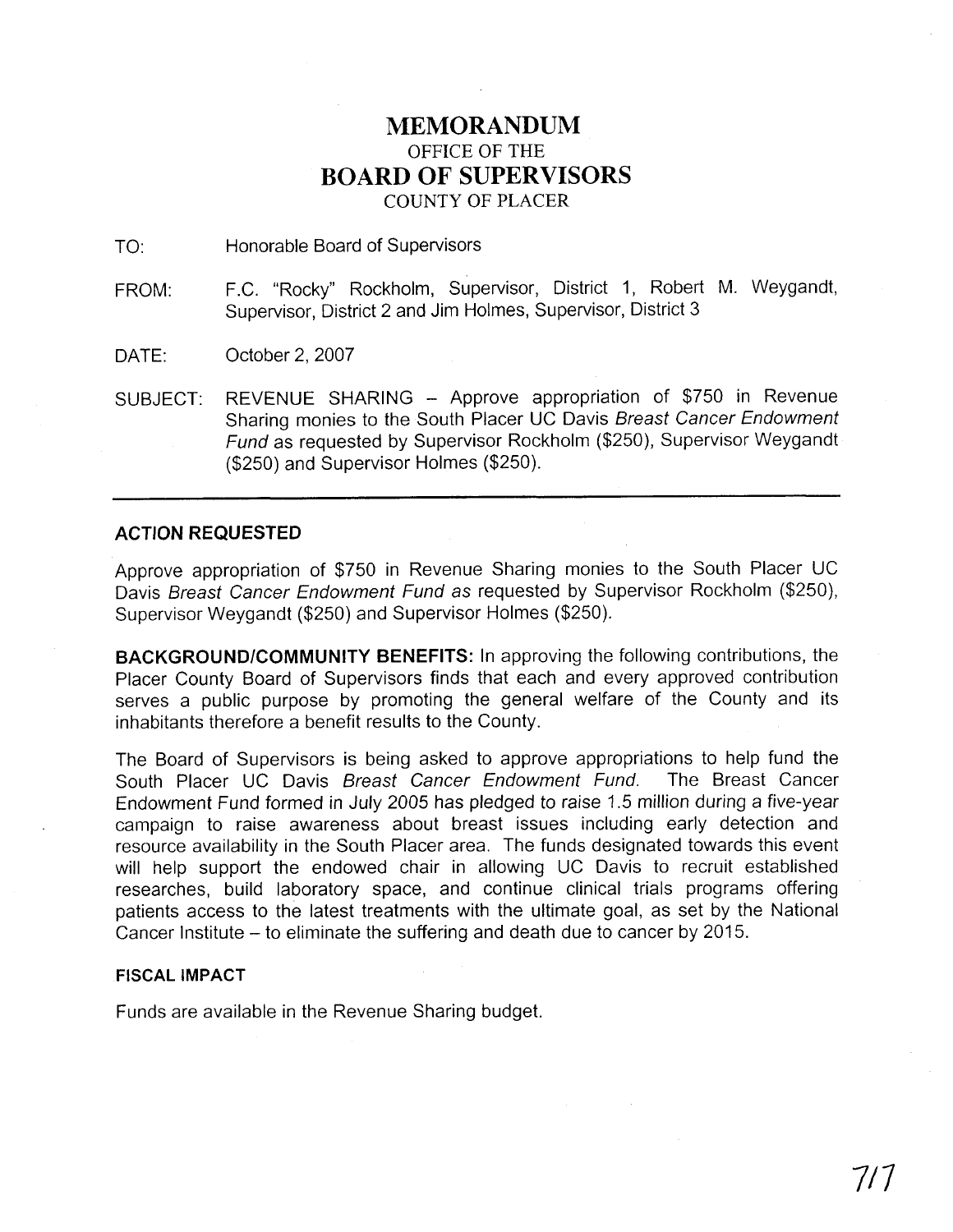# **MEMORANDUM**  OFFICE OF THE **BOARD OF SUPERVISORS**  COUNTY OF PLACER

TO: Honorable Board of Supervisors

FROM: F.C. "Rocky" Rockholm, Supervisor, District 1, Robert M. Weygandt, Supervisor, District 2 and Jim Holmes, Supervisor, District 3

DATE: October 2, 2007

SUBJECT: REVENUE SHARING - Approve appropriation of \$750 in Revenue Sharing monies to the South Placer UC Davis Breast Cancer Endowment Fund as requested by Supervisor Rockholm (\$250), Supervisor Weygandt (\$250) and Supervisor Holmes (\$250).

## **ACTION REQUESTED**

Approve appropriation of \$750 in Revenue Sharing monies to the South Placer UC Davis Breast Cancer Endowment Fund as requested by Supervisor Rockholm (\$250), Supervisor Weygandt (\$250) and Supervisor Holmes (\$250).

**BACKGROUNDICOMMUNITY BENEFITS:** In approving the following contributions, the Placer County Board of Supervisors finds that each and every approved contribution serves a public purpose by promoting the general welfare of the County and its inhabitants therefore a benefit results to the County.

The Board of Supervisors is being asked to approve appropriations to help fund the South Placer UC Davis Breast Cancer Endowment Fund. The Breast Cancer Endowment Fund formed in July 2005 has pledged to raise 1.5 million during a five-year campaign to raise awareness about breast issues including early detection and resource availability in the South Placer area. The funds designated towards this event will help support the endowed chair in allowing UC Davis to recruit established researches, build laboratory space, and continue clinical trials programs offering patients access to the latest treatments with the ultimate goal, as set by the National Cancer Institute - to eliminate the suffering and death due to cancer by 2015.

## **FISCAL IMPACT**

Funds are available in the Revenue Sharing budget.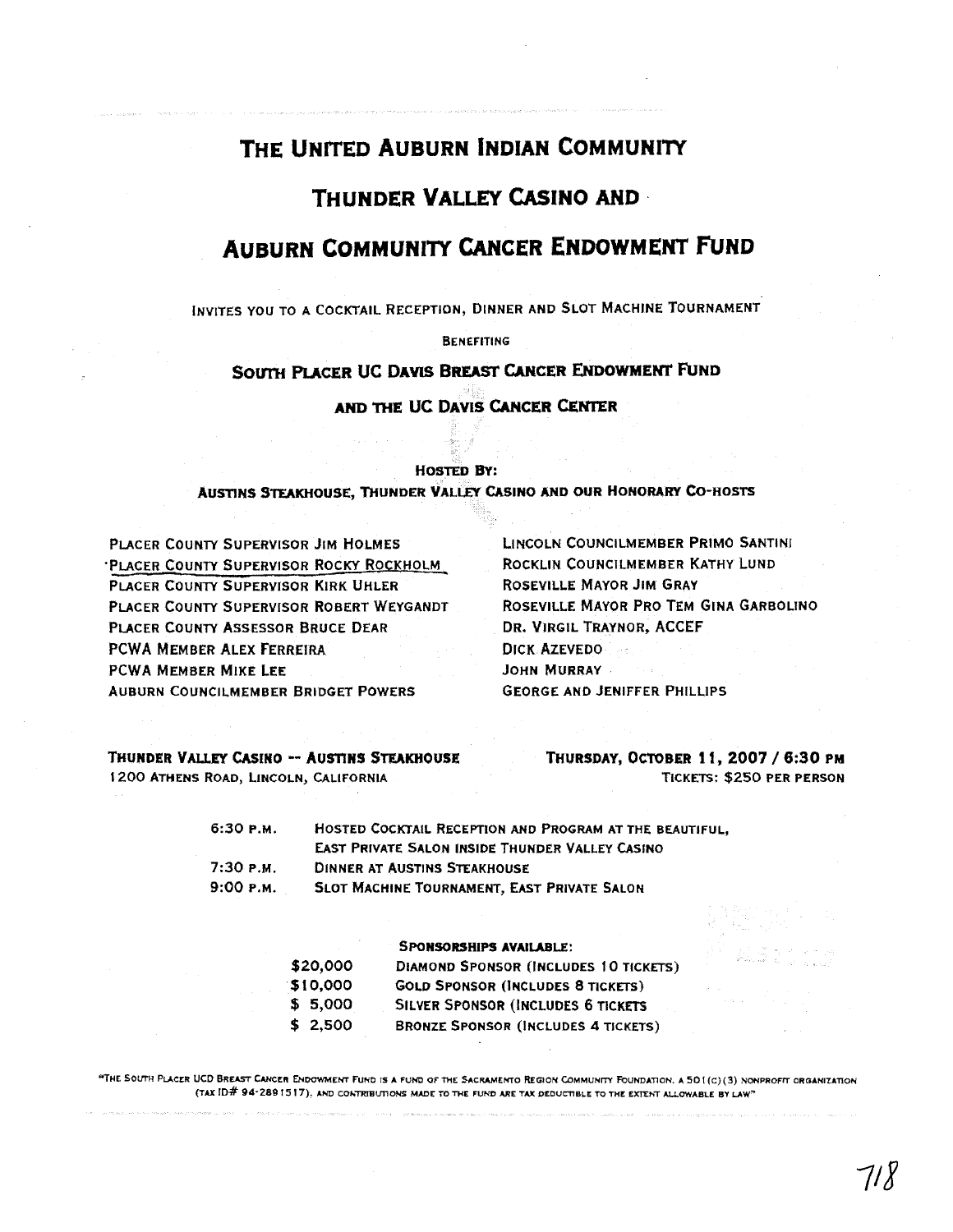# THE UNITED AUBURN INDIAN COMMUNITY

# **THUNDER VALLEY CASINO AND**

# **AUBURN COMMUNITY CANCER ENDOWMENT FUND**

INVITES YOU TO A COCKTAIL RECEPTION, DINNER AND SLOT MACHINE TOURNAMENT

**BENEFITING** 

## **SOUTH PLACER UC DAVIS BREAST CANCER ENDOWMENT FUND**

AND THE UC DAVIS CANCER CENTER

### **HOSTED BY:**

**AUSTINS STEAKHOUSE, THUNDER VALLEY CASINO AND OUR HONORARY CO-HOSTS** 

PLACER **COUNTY** SUPERVISOR **JIM** HOLMES LINCOLN COUNCILMEMBER **PRIMO** SANTINI 'PLACER COUNTY SUPERVISOR ROCKY ROCKHOLM ROCKLIN **COUNCILMEMBER KATHY LUND**  PLACER COUNTY SUPERVISOR KIRK UHLER ROSEVILLE MAYOR JIM GRAY **PLACER** COUNTY SUPERVISOR ROBERT WEYGANDT ROSEVILLE MAYOR PRO TEM GINA GARBOLINO **PLACER** COUNTY ASSESSOR BRUCE DEAR **DR. VIRGIL TRAYNOR, ACCEF PCWA MEMBER ALEX FERREIRA** DICK AZEVEDO PCWA **MEMBER MIKE LEE** JOHN **MURRAY AUBURN COUNCILMEMBER BRIDGET POWERS <b>GEORGE AND JENIFFER PHILLIPS** 

**1200 ATHENS ROAD, LINCOLN, CALIFORNIA** 

**THUNDER VALLEY CASINO -- AUSTINS STEAKHOUSE THURSDAY, OCTOBER 11, 2007 / 6:30 PM <b>1200 ATHENS ROAD.** LINCOLN, CALIFORNIA

| 6:30 р.м. | HOSTED COCKTAIL RECEPTION AND PROGRAM AT THE BEAUTIFUL. |
|-----------|---------------------------------------------------------|
|           | <b>EAST PRIVATE SALON INSIDE THUNDER VALLEY CASINO</b>  |
| 7:30 р.м. | DINNER AT AUSTINS STEAKHOUSE                            |
| 9:00 р.м. | SLOT MACHINE TOURNAMENT, EAST PRIVATE SALON             |

|          | <b>SPONSORSHIPS AVAILABLE:</b>               |
|----------|----------------------------------------------|
| \$20,000 | <b>DIAMOND SPONSOR (INCLUDES 10 TICKETS)</b> |
| \$10,000 | <b>GOLD SPONSOR (INCLUDES 8 TICKETS)</b>     |
| \$5,000  | SILVER SPONSOR (INCLUDES 6 TICKETS           |
| \$2,500  | <b>BRONZE SPONSOR (INCLUDES 4 TICKETS)</b>   |

"THE SOUTH PLACER UCD BREAST CANCER ENDOWMENT FUND IS A FUND OF THE SACRAMENTO REGION COMMUNITY FOUNDATION. A 501(C)(3) NONPROFIT ORGANIZATION **(TAX ID# 94-280 15 17). hND COh~BUflON5 MMr TO THE FUND ARE TAX DEDUCTIBLE TO WE EXEhT AILOWABLE BY LAW\***